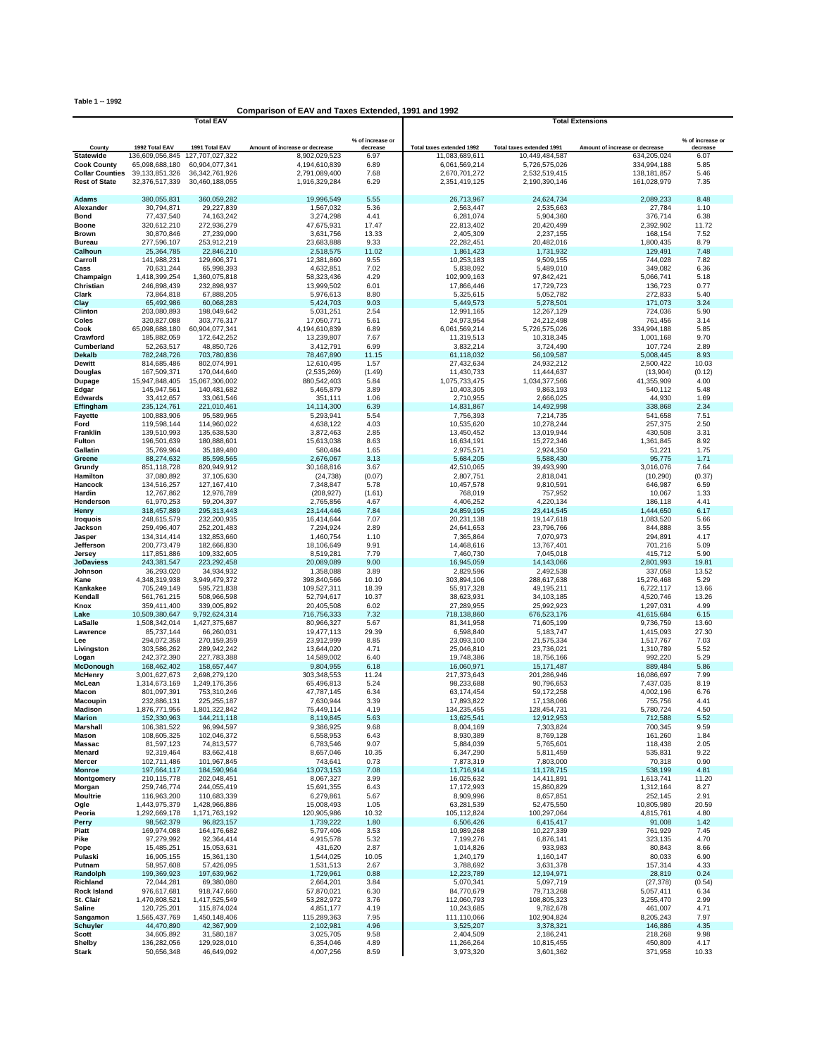**Table 1 -- 1992**

## **Comparison of EAV and Taxes Extended, 1991 and 1992**

|                                                |                                | <b>Total EAV</b>                    |                                |                              | <b>Total Extensions</b>        |                                |                                |                              |  |
|------------------------------------------------|--------------------------------|-------------------------------------|--------------------------------|------------------------------|--------------------------------|--------------------------------|--------------------------------|------------------------------|--|
|                                                |                                |                                     |                                |                              |                                |                                |                                |                              |  |
| County                                         | 1992 Total EAV                 | 1991 Total EAV                      | Amount of increase or decrease | % of increase or<br>decrease | Total taxes extended 1992      | Total taxes extended 1991      | Amount of increase or decrease | % of increase or<br>decrease |  |
| <b>Statewide</b>                               | 136,609,056,845                | 127,707,027,322                     | 8,902,029,523                  | 6.97                         | 11,083,689,611                 | 10,449,484,587                 | 634,205,024                    | 6.07                         |  |
| <b>Cook County</b>                             | 65,098,688,180                 | 60,904,077,341                      | 4,194,610,839                  | 6.89                         | 6,061,569,214                  | 5,726,575,026                  | 334,994,188                    | 5.85                         |  |
| <b>Collar Counties</b><br><b>Rest of State</b> | 39, 133, 851, 326              | 36, 342, 761, 926<br>30,460,188,055 | 2,791,089,400                  | 7.68<br>6.29                 | 2,670,701,272<br>2,351,419,125 | 2,532,519,415<br>2,190,390,146 | 138, 181, 857<br>161,028,979   | 5.46<br>7.35                 |  |
|                                                | 32,376,517,339                 |                                     | 1,916,329,284                  |                              |                                |                                |                                |                              |  |
| Adams                                          | 380,055,831                    | 360,059,282                         | 19,996,549                     | 5.55                         | 26,713,967                     | 24,624,734                     | 2,089,233                      | 8.48                         |  |
| Alexander                                      | 30,794,871                     | 29,227,839                          | 1,567,032                      | 5.36                         | 2,563,447                      | 2,535,663                      | 27,784                         | 1.10                         |  |
| <b>Bond</b>                                    | 77,437,540                     | 74,163,242                          | 3,274,298                      | 4.41                         | 6,281,074                      | 5,904,360                      | 376,714                        | 6.38                         |  |
| <b>Boone</b>                                   | 320,612,210                    | 272,936,279                         | 47,675,931                     | 17.47                        | 22,813,402                     | 20,420,499                     | 2,392,902                      | 11.72                        |  |
| <b>Brown</b>                                   | 30,870,846                     | 27,239,090<br>253,912,219           | 3,631,756<br>23,683,888        | 13.33<br>9.33                | 2,405,309                      | 2,237,155<br>20,482,016        | 168,154<br>1,800,435           | 7.52<br>8.79                 |  |
| <b>Bureau</b><br>Calhoun                       | 277,596,107<br>25,364,785      | 22,846,210                          | 2,518,575                      | 11.02                        | 22,282,451<br>1,861,423        | 1,731,932                      | 129,491                        | 7.48                         |  |
| Carroll                                        | 141,988,231                    | 129,606,371                         | 12,381,860                     | 9.55                         | 10,253,183                     | 9,509,155                      | 744,028                        | 7.82                         |  |
| Cass                                           | 70,631,244                     | 65,998,393                          | 4,632,851                      | 7.02                         | 5,838,092                      | 5,489,010                      | 349,082                        | 6.36                         |  |
| Champaign                                      | 1,418,399,254                  | 1,360,075,818                       | 58,323,436                     | 4.29                         | 102,909,163                    | 97,842,421                     | 5,066,741                      | 5.18                         |  |
| Christian                                      | 246,898,439                    | 232,898,937                         | 13,999,502                     | 6.01                         | 17,866,446                     | 17,729,723                     | 136,723                        | 0.77                         |  |
| Clark<br>Clay                                  | 73,864,818<br>65,492,986       | 67,888,205<br>60,068,283            | 5,976,613<br>5,424,703         | 8.80<br>9.03                 | 5,325,615<br>5,449,573         | 5,052,782<br>5,278,501         | 272,833<br>171,073             | 5.40<br>3.24                 |  |
| Clinton                                        | 203,080,893                    | 198,049,642                         | 5,031,251                      | 2.54                         | 12,991,165                     | 12,267,129                     | 724,036                        | 5.90                         |  |
| Coles                                          | 320,827,088                    | 303,776,317                         | 17,050,771                     | 5.61                         | 24,973,954                     | 24,212,498                     | 761,456                        | 3.14                         |  |
| Cook                                           | 65,098,688,180                 | 60,904,077,341                      | 4,194,610,839                  | 6.89                         | 6,061,569,214                  | 5,726,575,026                  | 334,994,188                    | 5.85                         |  |
| Crawford                                       | 185,882,059                    | 172,642,252                         | 13,239,807                     | 7.67                         | 11,319,513                     | 10,318,345                     | 1,001,168                      | 9.70                         |  |
| Cumberland<br><b>Dekalb</b>                    | 52,263,517                     | 48,850,726<br>703,780,836           | 3,412,791                      | 6.99<br>11.15                | 3,832,214                      | 3,724,490                      | 107,724<br>5,008,445           | 2.89<br>8.93                 |  |
| Dewitt                                         | 782,248,726<br>814,685,486     | 802,074,991                         | 78,467,890<br>12,610,495       | 1.57                         | 61,118,032<br>27,432,634       | 56,109,587<br>24,932,212       | 2,500,422                      | 10.03                        |  |
| Douglas                                        | 167,509,371                    | 170,044,640                         | (2,535,269)                    | (1.49)                       | 11,430,733                     | 11,444,637                     | (13,904)                       | (0.12)                       |  |
| Dupage                                         | 15,947,848,405                 | 15,067,306,002                      | 880,542,403                    | 5.84                         | 1,075,733,475                  | 1,034,377,566                  | 41,355,909                     | 4.00                         |  |
| Edgar                                          | 145,947,561                    | 140,481,682                         | 5,465,879                      | 3.89                         | 10,403,305                     | 9,863,193                      | 540,112                        | 5.48                         |  |
| <b>Edwards</b>                                 | 33,412,657                     | 33,061,546                          | 351,111                        | 1.06                         | 2,710,955                      | 2,666,025                      | 44,930                         | 1.69                         |  |
| Effingham<br><b>Fayette</b>                    | 235, 124, 761<br>100,883,906   | 221,010,461<br>95,589,965           | 14,114,300<br>5,293,941        | 6.39<br>5.54                 | 14,831,867<br>7,756,393        | 14,492,998<br>7,214,735        | 338,868<br>541,658             | 2.34<br>7.51                 |  |
| Ford                                           | 119,598,144                    | 114,960,022                         | 4,638,122                      | 4.03                         | 10,535,620                     | 10,278,244                     | 257,375                        | 2.50                         |  |
| Franklin                                       | 139,510,993                    | 135,638,530                         | 3,872,463                      | 2.85                         | 13,450,452                     | 13,019,944                     | 430,508                        | 3.31                         |  |
| Fulton                                         | 196,501,639                    | 180,888,601                         | 15,613,038                     | 8.63                         | 16,634,191                     | 15,272,346                     | 1,361,845                      | 8.92                         |  |
| Gallatin                                       | 35,769,964                     | 35,189,480                          | 580,484                        | 1.65                         | 2,975,571                      | 2,924,350                      | 51,221                         | 1.75                         |  |
| Greene                                         | 88.274.632                     | 85,598,565<br>820,949,912           | 2,676,067<br>30,168,816        | 3.13                         | 5,684,205                      | 5,588,430                      | 95,775<br>3,016,076            | 1.71                         |  |
| Grundy<br>Hamilton                             | 851,118,728<br>37,080,892      | 37,105,630                          | (24, 738)                      | 3.67<br>(0.07)               | 42,510,065<br>2,807,751        | 39,493,990<br>2,818,041        | (10, 290)                      | 7.64<br>(0.37)               |  |
| Hancock                                        | 134,516,257                    | 127, 167, 410                       | 7,348,847                      | 5.78                         | 10,457,578                     | 9,810,591                      | 646,987                        | 6.59                         |  |
| Hardin                                         | 12,767,862                     | 12,976,789                          | (208, 927)                     | (1.61)                       | 768,019                        | 757,952                        | 10,067                         | 1.33                         |  |
| Henderson                                      | 61,970,253                     | 59,204,397                          | 2,765,856                      | 4.67                         | 4,406,252                      | 4,220,134                      | 186,118                        | 4.41                         |  |
| Henry                                          | 318,457,889                    | 295,313,443                         | 23,144,446                     | 7.84                         | 24,859,195                     | 23,414,545                     | 1,444,650                      | 6.17                         |  |
| <b>Iroquois</b><br>Jackson                     | 248,615,579<br>259,496,407     | 232,200,935<br>252,201,483          | 16,414,644<br>7,294,924        | 7.07<br>2.89                 | 20,231,138<br>24,641,653       | 19,147,618<br>23,796,766       | 1,083,520<br>844,888           | 5.66<br>3.55                 |  |
| Jasper                                         | 134,314,414                    | 132,853,660                         | 1,460,754                      | 1.10                         | 7,365,864                      | 7,070,973                      | 294,891                        | 4.17                         |  |
| Jefferson                                      | 200,773,479                    | 182,666,830                         | 18,106,649                     | 9.91                         | 14,468,616                     | 13,767,401                     | 701,216                        | 5.09                         |  |
| Jersey                                         | 117,851,886                    | 109,332,605                         | 8,519,281                      | 7.79                         | 7,460,730                      | 7,045,018                      | 415,712                        | 5.90                         |  |
| <b>JoDaviess</b>                               | 243,381,547                    | 223,292,458                         | 20,089,089                     | 9.00                         | 16,945,059                     | 14,143,066                     | 2,801,993                      | 19.81                        |  |
| Johnson                                        | 36,293,020                     | 34,934,932                          | 1,358,088                      | 3.89                         | 2,829,596                      | 2,492,538                      | 337,058                        | 13.52                        |  |
| Kane<br>Kankakee                               | 4,348,319,938<br>705,249,149   | 3,949,479,372<br>595,721,838        | 398,840,566<br>109,527,311     | 10.10<br>18.39               | 303,894,106<br>55,917,328      | 288,617,638<br>49,195,211      | 15,276,468<br>6,722,117        | 5.29<br>13.66                |  |
| Kendall                                        | 561,761,215                    | 508,966,598                         | 52,794,617                     | 10.37                        | 38,623,931                     | 34, 103, 185                   | 4,520,746                      | 13.26                        |  |
| Knox                                           | 359,411,400                    | 339,005,892                         | 20,405,508                     | 6.02                         | 27,289,955                     | 25,992,923                     | 1,297,031                      | 4.99                         |  |
| Lake                                           | 10,509,380,647                 | 9,792,624,314                       | 716,756,333                    | 7.32                         | 718,138,860                    | 676,523,176                    | 41,615,684                     | 6.15                         |  |
| LaSalle<br>Lawrence                            | 1,508,342,014                  | 1,427,375,687<br>66,260,031         | 80,966,327                     | 5.67<br>29.39                | 81,341,958                     | 71,605,199                     | 9,736,759                      | 13.60<br>27.30               |  |
| Lee                                            | 85,737,144<br>294,072,358      | 270,159,359                         | 19,477,113<br>23,912,999       | 8.85                         | 6,598,840<br>23,093,100        | 5,183,747<br>21,575,334        | 1,415,093<br>1,517,767         | 7.03                         |  |
| Livingston                                     | 303,586,262                    | 289,942,242                         | 13,644,020                     | 4.71                         | 25,046,810                     | 23,736,021                     | 1,310,789                      | 5.52                         |  |
| Logan                                          | 242,372,390                    | 227,783,388                         | 14,589,002                     | 6.40                         | 19,748,386                     | 18,756,166                     | 992,220                        | 5.29                         |  |
| McDonough                                      | 168,462,402                    | 158,657,447                         | 9,804,955                      | 6.18                         | 16,060,971                     | 15, 171, 487                   | 889,484                        | 5.86                         |  |
| <b>McHenry</b>                                 | 3,001,627,673<br>1,314,673,169 | 2,698,279,120                       | 303,348,553                    | 11.24<br>5.24                | 217,373,643                    | 201,286,946<br>90,796,653      | 16,086,697                     | 7.99<br>8.19                 |  |
| McLean<br>Macon                                | 801,097,391                    | 1,249,176,356<br>753,310,246        | 65,496,813<br>47,787,145       | 6.34                         | 98,233,688<br>63,174,454       | 59,172,258                     | 7,437,035<br>4,002,196         | 6.76                         |  |
| Macoupin                                       | 232,886,131                    | 225,255,187                         | 7,630,944                      | 3.39                         | 17,893,822                     | 17,138,066                     | 755,756                        | 4.41                         |  |
| <b>Madison</b>                                 | 1,876,771,956                  | 1,801,322,842                       | 75,449,114                     | 4.19                         | 134,235,455                    | 128,454,731                    | 5,780,724                      | 4.50                         |  |
| marion                                         | 152,330,963                    | 144,211,118                         | 8,119,845                      | 5.63                         | 13,625,541                     | 12,912,953                     | 712,588                        | 5.52                         |  |
| Marshall                                       | 106,381,522                    | 96,994,597                          | 9,386,925                      | 9.68                         | 8,004,169<br>8,930,389         | 7,303,824                      | 700,345                        | 9.59                         |  |
| Mason<br>Massac                                | 108,605,325<br>81,597,123      | 102,046,372<br>74,813,577           | 6,558,953<br>6,783,546         | 6.43<br>9.07                 | 5,884,039                      | 8,769,128<br>5,765,601         | 161,260<br>118,438             | 1.84<br>2.05                 |  |
| Menard                                         | 92,319,464                     | 83,662,418                          | 8,657,046                      | 10.35                        | 6,347,290                      | 5,811,459                      | 535,831                        | 9.22                         |  |
| Mercer                                         | 102,711,486                    | 101,967,845                         | 743,641                        | 0.73                         | 7,873,319                      | 7,803,000                      | 70,318                         | 0.90                         |  |
| <b>Monroe</b>                                  | 197,664,117                    | 184,590,964                         | 13,073,153                     | 7.08                         | 11,716,914                     | 11,178,715                     | 538,199                        | 4.81                         |  |
| Montgomery                                     | 210,115,778                    | 202,048,451<br>244,055,419          | 8,067,327                      | 3.99                         | 16,025,632                     | 14,411,891                     | 1,613,741                      | 11.20                        |  |
| Morgan<br><b>Moultrie</b>                      | 259,746,774<br>116,963,200     | 110,683,339                         | 15,691,355<br>6,279,861        | 6.43<br>5.67                 | 17,172,993<br>8,909,996        | 15,860,829<br>8,657,851        | 1,312,164<br>252,145           | 8.27<br>2.91                 |  |
| Ogle                                           | 1,443,975,379                  | 1,428,966,886                       | 15,008,493                     | 1.05                         | 63,281,539                     | 52,475,550                     | 10,805,989                     | 20.59                        |  |
| Peoria                                         | 1,292,669,178                  | 1,171,763,192                       | 120,905,986                    | 10.32                        | 105,112,824                    | 100,297,064                    | 4,815,761                      | 4.80                         |  |
| Perry                                          | 98,562,379                     | 96,823,157                          | 1,739,222                      | 1.80                         | 6,506,426                      | 6,415,417                      | 91,008                         | 1.42                         |  |
| Piatt                                          | 169,974,088                    | 164,176,682                         | 5,797,406                      | 3.53                         | 10,989,268                     | 10,227,339                     | 761,929                        | 7.45                         |  |
| Pike<br>Pope                                   | 97,279,992<br>15,485,251       | 92,364,414<br>15,053,631            | 4,915,578<br>431,620           | 5.32<br>2.87                 | 7,199,276<br>1,014,826         | 6,876,141<br>933,983           | 323,135<br>80,843              | 4.70<br>8.66                 |  |
| Pulaski                                        | 16,905,155                     | 15,361,130                          | 1,544,025                      | 10.05                        | 1,240,179                      | 1,160,147                      | 80,033                         | 6.90                         |  |
| Putnam                                         | 58,957,608                     | 57,426,095                          | 1,531,513                      | 2.67                         | 3,788,692                      | 3,631,378                      | 157,314                        | 4.33                         |  |
| Randolph                                       | 199,369,923                    | 197,639,962                         | 1,729,961                      | 0.88                         | 12,223,789                     | 12,194,971                     | 28,819                         | 0.24                         |  |
| Richland                                       | 72,044,281                     | 69,380,080                          | 2,664,201                      | 3.84                         | 5,070,341                      | 5,097,719                      | (27, 378)                      | (0.54)                       |  |
| <b>Rock Island</b>                             | 976,617,681                    | 918,747,660                         | 57,870,021                     | 6.30                         | 84,770,679                     | 79,713,268                     | 5,057,411                      | 6.34                         |  |
| St. Clair<br>Saline                            | 1,470,808,521<br>120,725,201   | 1,417,525,549<br>115,874,024        | 53,282,972<br>4,851,177        | 3.76<br>4.19                 | 112,060,793<br>10,243,685      | 108,805,323<br>9,782,678       | 3,255,470<br>461,007           | 2.99<br>4.71                 |  |
| Sangamon                                       | 1,565,437,769                  | 1,450,148,406                       | 115,289,363                    | 7.95                         | 111,110,066                    | 102,904,824                    | 8,205,243                      | 7.97                         |  |
| <b>Schuyler</b>                                | 44,470,890                     | 42,367,909                          | 2,102,981                      | 4.96                         | 3,525,207                      | 3,378,321                      | 146,886                        | 4.35                         |  |
| Scott                                          | 34,605,892                     | 31,580,187                          | 3,025,705                      | 9.58                         | 2,404,509                      | 2,186,241                      | 218,268                        | 9.98                         |  |
| Shelby                                         | 136,282,056                    | 129,928,010                         | 6,354,046                      | 4.89                         | 11,266,264                     | 10,815,455                     | 450,809                        | 4.17                         |  |
| <b>Stark</b>                                   | 50,656,348                     | 46,649,092                          | 4,007,256                      | 8.59                         | 3,973,320                      | 3,601,362                      | 371,958                        | 10.33                        |  |